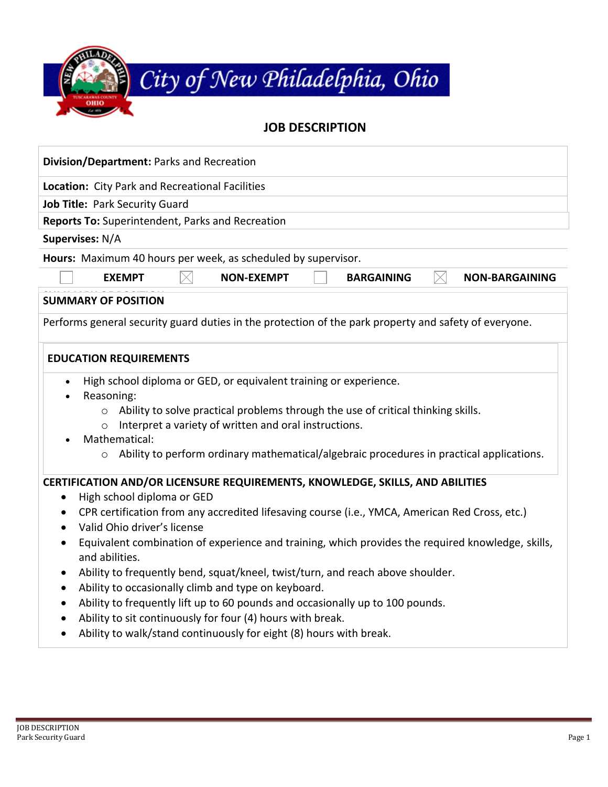

## **Division/Department:** Parks and Recreation **Location:** City Park and Recreational Facilities **Job Title:** Park Security Guard **Reports To:** Superintendent, Parks and Recreation **Supervises:** N/A **Hours:** Maximum 40 hours per week, as scheduled by supervisor. **EXEMPT NON-EXEMPT | BARGAINING NON-BARGAINING SUMMARY OF POSITION SUMMARY OF POSITION** Performs general security guard duties in the protection of the park property and safety of everyone. **CERTIFICATION AND/OR LICENSURE REQUIREMENTS, KNOWLEDGE, SKILLS, AND ABILITIES** • High school diploma or GED • CPR certification from any accredited lifesaving course (i.e., YMCA, American Red Cross, etc.) • Valid Ohio driver's license • Equivalent combination of experience and training, which provides the required knowledge, skills, and abilities. • Ability to frequently bend, squat/kneel, twist/turn, and reach above shoulder. • Ability to occasionally climb and type on keyboard. • Ability to frequently lift up to 60 pounds and occasionally up to 100 pounds. • Ability to sit continuously for four (4) hours with break. **EDUCATION REQUIREMENTS** • High school diploma or GED, or equivalent training or experience. • Reasoning:  $\circ$  Ability to solve practical problems through the use of critical thinking skills. o Interpret a variety of written and oral instructions. • Mathematical: o Ability to perform ordinary mathematical/algebraic procedures in practical applications.

• Ability to walk/stand continuously for eight (8) hours with break.